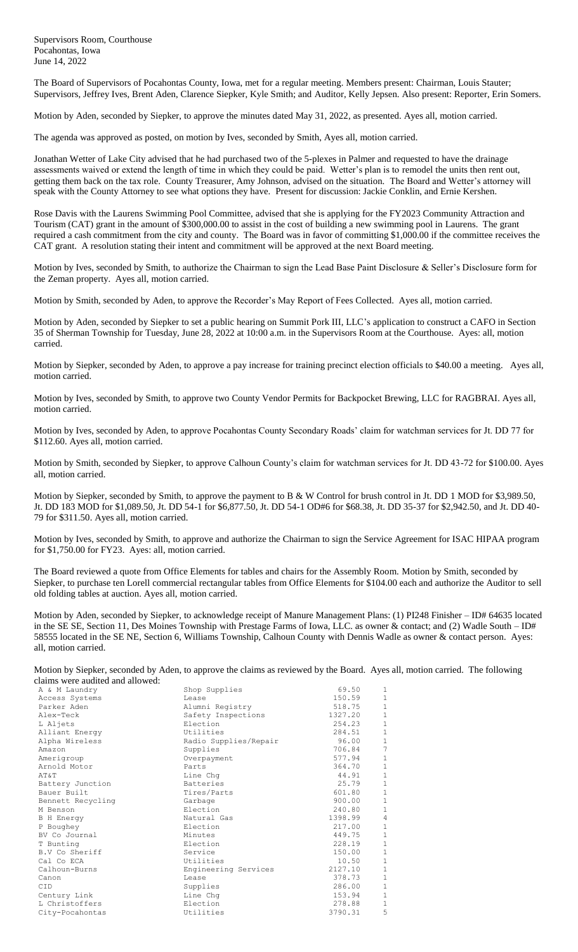Supervisors Room, Courthouse Pocahontas, Iowa June 14, 2022

The Board of Supervisors of Pocahontas County, Iowa, met for a regular meeting. Members present: Chairman, Louis Stauter; Supervisors, Jeffrey Ives, Brent Aden, Clarence Siepker, Kyle Smith; and Auditor, Kelly Jepsen. Also present: Reporter, Erin Somers.

Motion by Aden, seconded by Siepker, to approve the minutes dated May 31, 2022, as presented. Ayes all, motion carried.

The agenda was approved as posted, on motion by Ives, seconded by Smith, Ayes all, motion carried.

Jonathan Wetter of Lake City advised that he had purchased two of the 5-plexes in Palmer and requested to have the drainage assessments waived or extend the length of time in which they could be paid. Wetter's plan is to remodel the units then rent out, getting them back on the tax role. County Treasurer, Amy Johnson, advised on the situation. The Board and Wetter's attorney will speak with the County Attorney to see what options they have. Present for discussion: Jackie Conklin, and Ernie Kershen.

Rose Davis with the Laurens Swimming Pool Committee, advised that she is applying for the FY2023 Community Attraction and Tourism (CAT) grant in the amount of \$300,000.00 to assist in the cost of building a new swimming pool in Laurens. The grant required a cash commitment from the city and county. The Board was in favor of committing \$1,000.00 if the committee receives the CAT grant. A resolution stating their intent and commitment will be approved at the next Board meeting.

Motion by Ives, seconded by Smith, to authorize the Chairman to sign the Lead Base Paint Disclosure & Seller's Disclosure form for the Zeman property. Ayes all, motion carried.

Motion by Smith, seconded by Aden, to approve the Recorder's May Report of Fees Collected. Ayes all, motion carried.

Motion by Aden, seconded by Siepker to set a public hearing on Summit Pork III, LLC's application to construct a CAFO in Section 35 of Sherman Township for Tuesday, June 28, 2022 at 10:00 a.m. in the Supervisors Room at the Courthouse. Ayes: all, motion carried.

Motion by Siepker, seconded by Aden, to approve a pay increase for training precinct election officials to \$40.00 a meeting. Ayes all, motion carried.

Motion by Ives, seconded by Smith, to approve two County Vendor Permits for Backpocket Brewing, LLC for RAGBRAI. Ayes all, motion carried.

Motion by Ives, seconded by Aden, to approve Pocahontas County Secondary Roads' claim for watchman services for Jt. DD 77 for \$112.60. Ayes all, motion carried.

Motion by Smith, seconded by Siepker, to approve Calhoun County's claim for watchman services for Jt. DD 43-72 for \$100.00. Ayes all, motion carried.

Motion by Siepker, seconded by Smith, to approve the payment to B & W Control for brush control in Jt. DD 1 MOD for \$3,989.50, Jt. DD 183 MOD for \$1,089.50, Jt. DD 54-1 for \$6,877.50, Jt. DD 54-1 OD#6 for \$68.38, Jt. DD 35-37 for \$2,942.50, and Jt. DD 40- 79 for \$311.50. Ayes all, motion carried.

Motion by Ives, seconded by Smith, to approve and authorize the Chairman to sign the Service Agreement for ISAC HIPAA program for \$1,750.00 for FY23. Ayes: all, motion carried.

The Board reviewed a quote from Office Elements for tables and chairs for the Assembly Room. Motion by Smith, seconded by Siepker, to purchase ten Lorell commercial rectangular tables from Office Elements for \$104.00 each and authorize the Auditor to sell old folding tables at auction. Ayes all, motion carried.

Motion by Aden, seconded by Siepker, to acknowledge receipt of Manure Management Plans: (1) PI248 Finisher – ID# 64635 located in the SE SE, Section 11, Des Moines Township with Prestage Farms of Iowa, LLC. as owner & contact; and (2) Wadle South – ID# 58555 located in the SE NE, Section 6, Williams Township, Calhoun County with Dennis Wadle as owner & contact person. Ayes: all, motion carried.

Motion by Siepker, seconded by Aden, to approve the claims as reviewed by the Board. Ayes all, motion carried. The following claims were audited and allowed:

| enamis were audited and anowed. |                       |         |                |
|---------------------------------|-----------------------|---------|----------------|
| A & M Laundry                   | Shop Supplies         | 69.50   | 1              |
| Access Systems                  | Lease                 | 150.59  | $\mathbf{1}$   |
| Parker Aden                     | Alumni Registry       | 518.75  | $1\,$          |
| Alex-Teck                       | Safety Inspections    | 1327.20 | $1\,$          |
| L Aljets                        | Election              | 254.23  | $\,1\,$        |
| Alliant Energy                  | Utilities             | 284.51  | $\,1\,$        |
| Alpha Wireless                  | Radio Supplies/Repair | 96.00   | $\mathbf 1$    |
| Amazon                          | Supplies              | 706.84  | $\overline{7}$ |
| Amerigroup                      | Overpayment           | 577.94  | $\,1\,$        |
| Arnold Motor                    | Parts                 | 364.70  | $1\,$          |
| AΤδΤ                            | Line Chq              | 44.91   | $1\,$          |
| Battery Junction                | Batteries             | 25.79   | $\mathbf 1$    |
| Bauer Built                     | Tires/Parts           | 601.80  | $\mathbf 1$    |
| Bennett Recycling               | Garbage               | 900.00  | $\mathbf 1$    |
| M Benson                        | Election              | 240.80  | $\,1\,$        |
| <b>B</b> H Energy               | Natural Gas           | 1398.99 | $\overline{4}$ |
| P Boughey                       | Election              | 217.00  | $\mathbf 1$    |
| BV Co Journal                   | Minutes               | 449.75  | $1\,$          |
| T Bunting                       | Election              | 228.19  | $\mathbf 1$    |
| B.V Co Sheriff                  | Service               | 150.00  | $\mathbf 1$    |
| Cal Co ECA                      | Utilities             | 10.50   | $1\,$          |
| Calhoun-Burns                   | Engineering Services  | 2127.10 | $\mathbf 1$    |
| Canon                           | Lease                 | 378.73  | $\,1\,$        |
| CTD                             | Supplies              | 286.00  | $\mathbf{1}$   |
| Century Link                    | Line Chq              | 153.94  | $\,1\,$        |
| L Christoffers                  | Election              | 278.88  | $\mathbf{1}$   |
| City-Pocahontas                 | Utilities             | 3790.31 | 5              |
|                                 |                       |         |                |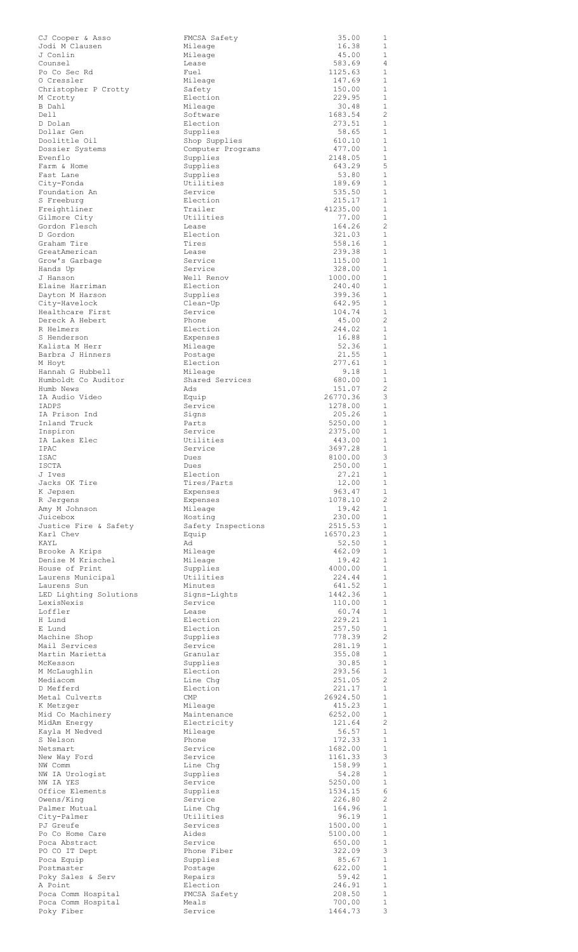| CJ Cooper & Asso                         | FMCSA Safety            | 35.00               | 1                                     |
|------------------------------------------|-------------------------|---------------------|---------------------------------------|
| Jodi M Clausen                           | Mileage                 | 16.38               | 1                                     |
| J Conlin<br>Counsel                      | Mileage<br>Lease        | 45.00<br>583.69     | $\mathbf{1}$<br>4                     |
| Po Co Sec Rd                             | Fuel                    | 1125.63             | 1                                     |
| 0 Cressler                               | Mileage                 | 147.69              | 1                                     |
| Christopher P Crotty                     | Safety                  | 150.00              | 1                                     |
| M Crotty                                 | Election                | 229.95              | 1                                     |
| B Dahl<br>Dell                           | Mileage<br>Software     | 30.48<br>1683.54    | 1<br>2                                |
| D Dolan                                  | Election                | 273.51              | 1                                     |
| Dollar Gen                               | Supplies                | 58.65               | 1                                     |
| Doolittle Oil                            | Shop Supplies           | 610.10              | $\mathbf{1}$                          |
| Dossier Systems                          | Computer Programs       | 477.00              | 1                                     |
| Evenflo<br>Farm & Home                   | Supplies<br>Supplies    | 2148.05<br>643.29   | 1<br>5                                |
| Fast Lane                                | Supplies                | 53.80               | 1                                     |
| City-Fonda                               | Utilities               | 189.69              | 1                                     |
| Foundation An                            | Service                 | 535.50              | $\mathbf{1}$                          |
| S Freeburg                               | Election<br>Trailer     | 215.17<br>41235.00  | 1<br>1                                |
| Freightliner<br>Gilmore City             | Utilities               | 77.00               | 1                                     |
| Gordon Flesch                            | Lease                   | 164.26              | 2                                     |
| D Gordon                                 | Election                | 321.03              | $\mathbf{1}$                          |
| Graham Tire                              | Tires                   | 558.16              | 1                                     |
| GreatAmerican<br>Grow's Garbage          | Lease<br>Service        | 239.38<br>115.00    | $\mathbf{1}$<br>1                     |
| Hands Up                                 | Service                 | 328.00              | $\mathbf{1}$                          |
| J Hanson                                 | Well Renov              | 1000.00             | $\mathbf{1}$                          |
| Elaine Harriman                          | Election                | 240.40              | $\mathbf{1}$                          |
| Dayton M Harson                          | Supplies                | 399.36              | 1<br>$\mathbf{1}$                     |
| City-Havelock<br>Healthcare First        | Clean-Up<br>Service     | 642.95<br>104.74    | 1                                     |
| Dereck A Hebert                          | Phone                   | 45.00               | 2                                     |
| R Helmers                                | Election                | 244.02              | 1                                     |
| S Henderson                              | Expenses                | 16.88               | 1                                     |
| Kalista M Herr<br>Barbra J Hinners       | Mileage                 | 52.36<br>21.55      | 1<br>1                                |
| M Hoyt                                   | Postage<br>Election     | 277.61              | $\mathbf{1}$                          |
| Hannah G Hubbell                         | Mileage                 | 9.18                | 1                                     |
| Humboldt Co Auditor                      | Shared Services         | 680.00              | 1                                     |
| Humb News                                | Ads                     | 151.07              | 2                                     |
| IA Audio Video<br>IADPS                  | Equip<br>Service        | 26770.36<br>1278.00 | 3<br>$\mathbf{1}$                     |
| IA Prison Ind                            | Signs                   | 205.26              | 1                                     |
| Inland Truck                             | Parts                   | 5250.00             | $\mathbf{1}$                          |
| Inspiron                                 | Service                 | 2375.00             | $\mathbf{1}$                          |
| IA Lakes Elec<br>IPAC                    | Utilities               | 443.00<br>3697.28   | $\mathbf{1}$<br>1                     |
| ISAC                                     | Service<br>Dues         | 8100.00             | 3                                     |
| ISCTA                                    | Dues                    | 250.00              | 1                                     |
|                                          |                         |                     |                                       |
| J Ives                                   | Election                | 27.21               | $\mathbf{1}$                          |
| Jacks OK Tire                            | Tires/Parts             | 12.00               | $\mathbf{1}$                          |
| K Jepsen                                 | Expenses                | 963.47              | $\mathbf{1}$                          |
| R Jergens<br>Amy M Johnson               | Expenses<br>Mileage     | 1078.10<br>19.42    | 2<br>$\mathbf{1}$                     |
| Juicebox                                 | Hosting                 | 230.00              | $\mathbf{1}$                          |
| Justice Fire & Safety                    | Safety Inspections      | 2515.53             | $\mathbf{1}$                          |
| Karl Chev                                | Equip                   | 16570.23            | 1                                     |
| KAYL                                     | Ad                      | 52.50               | $\mathbf{1}$<br>$\mathbf{1}$          |
| Brooke A Krips<br>Denise M Krischel      | Mileage<br>Mileage      | 462.09<br>19.42     | $\mathbf{1}$                          |
| House of Print                           | Supplies                | 4000.00             | 1                                     |
| Laurens Municipal                        | Utilities               | 224.44              | $\mathbf{1}$                          |
| Laurens Sun                              | Minutes                 | 641.52              | $\mathbf{1}$                          |
| LED Lighting Solutions<br>LexisNexis     | Signs-Lights<br>Service | 1442.36<br>110.00   | $\mathbf{1}$<br>$\mathbf{1}$          |
| Loffler                                  | Lease                   | 60.74               | $\mathbf{1}$                          |
| H Lund                                   | Election                | 229.21              | $\mathbf{1}$                          |
| E Lund                                   | Election                | 257.50              | $\mathbf{1}$                          |
| Machine Shop<br>Mail Services            | Supplies<br>Service     | 778.39<br>281.19    | 2<br>$\mathbf{1}$                     |
| Martin Marietta                          | Granular                | 355.08              | $\mathbf{1}$                          |
| McKesson                                 | Supplies                | 30.85               | $\mathbf{1}$                          |
| M McLaughlin                             | Election                | 293.56              | $\mathbf{1}$                          |
| Mediacom<br>D Mefferd                    | Line Chq                | 251.05              | $\mathbf{2}^{\prime}$<br>$\mathbf{1}$ |
| Metal Culverts                           | Election<br><b>CMP</b>  | 221.17<br>26924.50  | $\mathbf{1}$                          |
| K Metzger                                | Mileage                 | 415.23              | $\mathbf{1}$                          |
| Mid Co Machinery                         | Maintenance             | 6252.00             | $\mathbf{1}$                          |
| MidAm Energy                             | Electricity             | 121.64              | 2                                     |
| Kayla M Nedved<br>S Nelson               | Mileage<br>Phone        | 56.57<br>172.33     | $\mathbf{1}$<br>1                     |
| Netsmart                                 | Service                 | 1682.00             | $\mathbf{1}$                          |
| New Way Ford                             | Service                 | 1161.33             | 3                                     |
| NW Comm                                  | Line Chg<br>Supplies    | 158.99<br>54.28     | $\mathbf{1}$<br>1                     |
| NW IA Urologist<br>NW IA YES             | Service                 | 5250.00             | 1                                     |
| Office Elements                          | Supplies                | 1534.15             | 6                                     |
| Owens/King                               | Service                 | 226.80              | 2                                     |
| Palmer Mutual                            | Line Chq                | 164.96              | 1                                     |
| City-Palmer<br>PJ Greufe                 | Utilities<br>Services   | 96.19<br>1500.00    | 1<br>1                                |
| Po Co Home Care                          | Aides                   | 5100.00             | $\mathbf{1}$                          |
| Poca Abstract                            | Service                 | 650.00              | $\mathbf{1}$                          |
| PO CO IT Dept                            | Phone Fiber             | 322.09              | 3                                     |
| Poca Equip<br>Postmaster                 | Supplies<br>Postage     | 85.67<br>622.00     | 1<br>$\mathbf{1}$                     |
| Poky Sales & Serv                        | Repairs                 | 59.42               | $\mathbf{1}$                          |
| A Point                                  | Election                | 246.91              | 1                                     |
| Poca Comm Hospital<br>Poca Comm Hospital | FMCSA Safety<br>Meals   | 208.50<br>700.00    | $\mathbf{1}$<br>$\mathbf{1}$          |